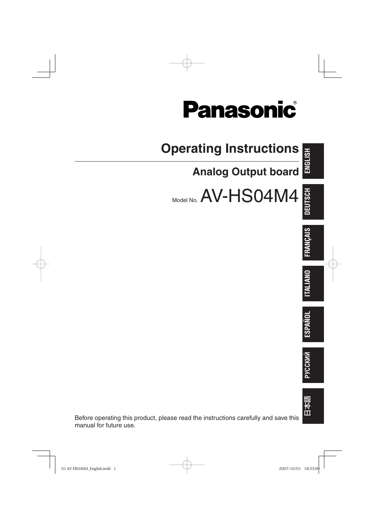



01.AV-HS04M4\_English.indd 1 2007/10/01 18:33:00

manual for future use.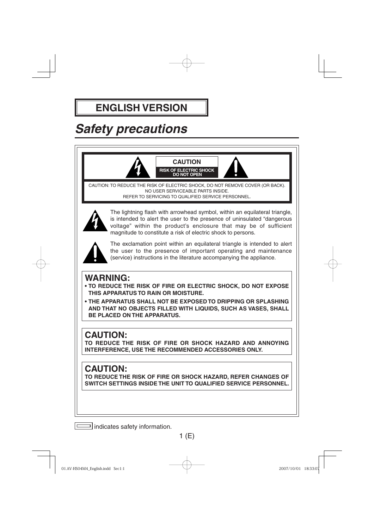### **ENGLISH VERSION**

## *Safety precautions*



indicates safety information.

 $1(E)$ 

01.AV-HS04M4\_English.indd Sec1:1 2007/10/01 18:33:07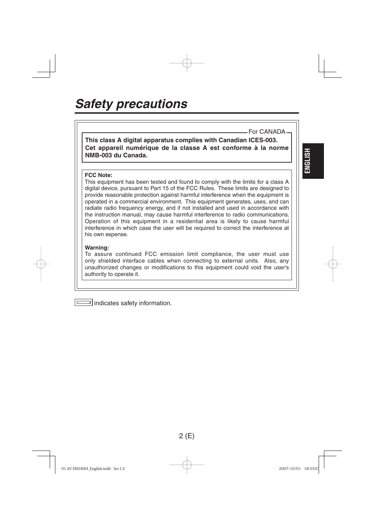### *Safety precautions*

**This class A digital apparatus complies with Canadian ICES-003. Cet appareil numérique de la classe A est conforme à la norme NMB-003 du Canada.**

#### **FCC Note:**

This equipment has been tested and found to comply with the limits for a class A digital device, pursuant to Part 15 of the FCC Rules. These limits are designed to provide reasonable protection against harmful interference when the equipment is operated in a commercial environment. This equipment generates, uses, and can radiate radio frequency energy, and if not installed and used in accordance with the instruction manual, may cause harmful interference to radio communications. Operation of this equipment in a residential area is likely to cause harmful interference in which case the user will be required to correct the interference at his own expense.

#### **Warning:**

To assure continued FCC emission limit compliance, the user must use only shielded interface cables when connecting to external units. Also, any unauthorized changes or modifications to this equipment could void the user's authority to operate it.



01.AV-HS04M4\_English.indd Sec1:2 1.AV-HS04M4\_English.indd Sec1:2 1.AV-HS04M4\_English.indd 2007/10/01 18:33:07

**ENGLISH**

For CANADA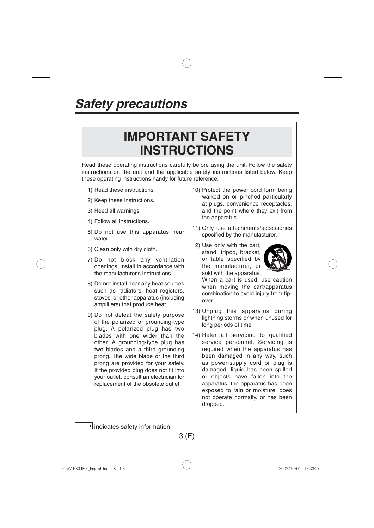### *Safety precautions*

## **IMPORTANT SAFETY INSTRUCTIONS**

Read these operating instructions carefully before using the unit. Follow the safety instructions on the unit and the applicable safety instructions listed below. Keep these operating instructions handy for future reference.

- 1) Read these instructions.
- 2) Keep these instructions.
- 3) Heed all warnings.
- 4) Follow all instructions.
- 5) Do not use this apparatus near water.
- 6) Clean only with dry cloth.
- 7) Do not block any ventilation openings. Install in accordance with the manufacturer's instructions.
- 8) Do not install near any heat sources such as radiators, heat registers, stoves, or other apparatus (including amplifiers) that produce heat.
- 9) Do not defeat the safety purpose of the polarized or grounding-type plug. A polarized plug has two blades with one wider than the other. A grounding-type plug has two blades and a third grounding prong. The wide blade or the third prong are provided for your safety. If the provided plug does not fit into your outlet, consult an electrician for replacement of the obsolete outlet.
- 10) Protect the power cord form being walked on or pinched particularly at plugs, convenience receptacles, and the point where they exit from the apparatus.
- 11) Only use attachments/accessories specified by the manufacturer.
- 12) Use only with the cart, stand, tripod, bracket, or table specified by the manufacturer, or sold with the apparatus.



When a cart is used, use caution when moving the cart/apparatus combination to avoid injury from tipover.

- 13) Unplug this apparatus during lightning storms or when unused for long periods of time.
- 14) Refer all servicing to qualified service personnel. Servicing is required when the apparatus has been damaged in any way, such as power-supply cord or plug is damaged, liquid has been spilled or objects have fallen into the apparatus, the apparatus has been exposed to rain or moisture, does not operate normally, or has been dropped.

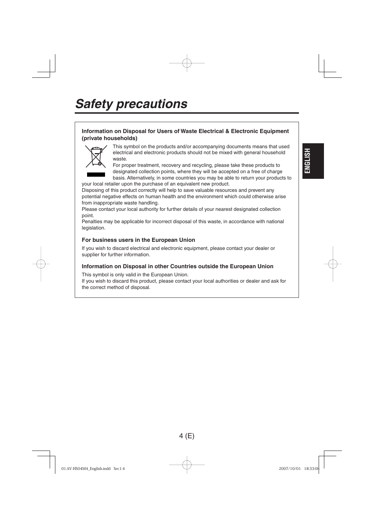## *Safety precautions*

#### **Information on Disposal for Users of Waste Electrical & Electronic Equipment (private households)**



This symbol on the products and/or accompanying documents means that used electrical and electronic products should not be mixed with general household waste.

For proper treatment, recovery and recycling, please take these products to designated collection points, where they will be accepted on a free of charge basis. Alternatively, in some countries you may be able to return your products to **ENGLISH**

Disposing of this product correctly will help to save valuable resources and prevent any potential negative effects on human health and the environment which could otherwise arise from inappropriate waste handling.

Please contact your local authority for further details of your nearest designated collection point.

Penalties may be applicable for incorrect disposal of this waste, in accordance with national legislation.

#### **For business users in the European Union**

your local retailer upon the purchase of an equivalent new product.

If you wish to discard electrical and electronic equipment, please contact your dealer or supplier for further information.

#### **Information on Disposal in other Countries outside the European Union**

This symbol is only valid in the European Union.

If you wish to discard this product, please contact your local authorities or dealer and ask for the correct method of disposal.

01.AV-HS04M4\_English.indd Sec1:4 1.AV-HS04M4\_English.indd 2007/10/01 18:33:08 007/10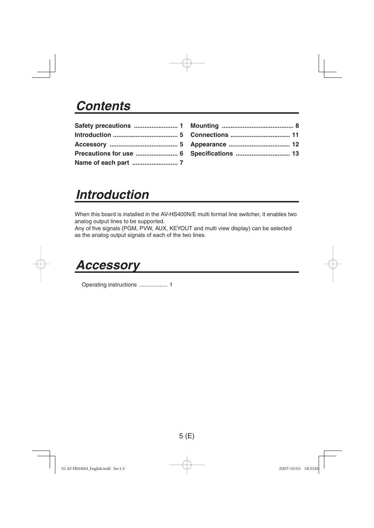### *Contents*

## *Introduction*

When this board is installed in the AV-HS400N/E multi format line switcher, it enables two analog output lines to be supported.

Any of five signals (PGM, PVW, AUX, KEYOUT and multi view display) can be selected as the analog output signals of each of the two lines.

### *Accessory*

Operating instructions .................. 1

5 (E)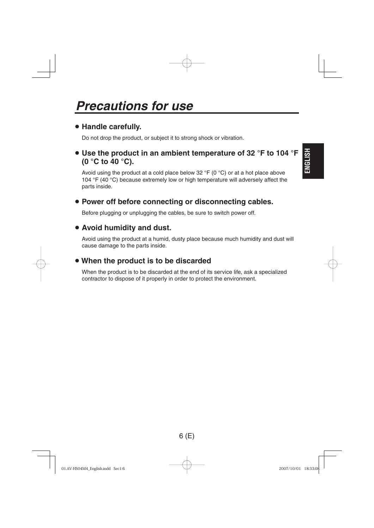### *Precautions for use*

#### **Handle carefully.**

Do not drop the product, or subject it to strong shock or vibration.

 **Use the product in an ambient temperature of 32 °F to 104 °F (0 °C to 40 °C).**

Avoid using the product at a cold place below 32 °F (0 °C) or at a hot place above 104 °F (40 °C) because extremely low or high temperature will adversely affect the parts inside.

#### **Power off before connecting or disconnecting cables.**

Before plugging or unplugging the cables, be sure to switch power off.

#### **Avoid humidity and dust.**

 Avoid using the product at a humid, dusty place because much humidity and dust will cause damage to the parts inside.

#### **When the product is to be discarded**

 When the product is to be discarded at the end of its service life, ask a specialized contractor to dispose of it properly in order to protect the environment.

6 (E)

01.AV-HS04M4\_English.indd Sec1:6 1.AV-HS04M4\_English.indd Sec1:6 1.AV-HS04M4\_English.indd 2007/10/01

**ENGLISH**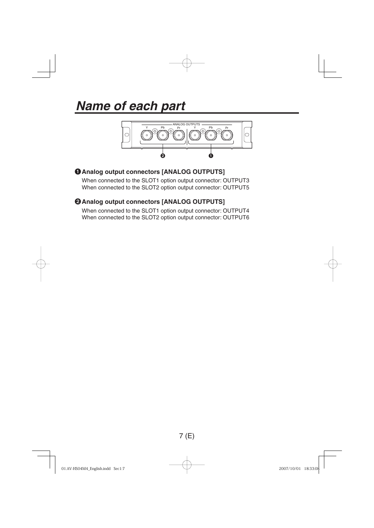## *Name of each part*



#### **O** Analog output connectors [ANALOG OUTPUTS]

When connected to the SLOT1 option output connector: OUTPUT3 When connected to the SLOT2 option output connector: OUTPUT5

#### **@ Analog output connectors [ANALOG OUTPUTS]**

When connected to the SLOT1 option output connector: OUTPUT4 When connected to the SLOT2 option output connector: OUTPUT6

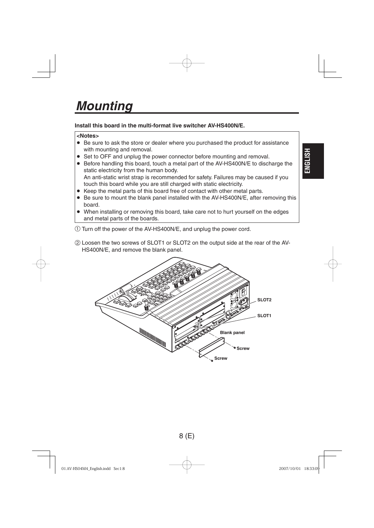### *Mounting*

#### **Install this board in the multi-format live switcher AV-HS400N/E.**

#### **<Notes>**

- Be sure to ask the store or dealer where you purchased the product for assistance with mounting and removal.
- Set to OFF and unplug the power connector before mounting and removal.
- Before handling this board, touch a metal part of the AV-HS400N/E to discharge the static electricity from the human body.
- An anti-static wrist strap is recommended for safety. Failures may be caused if you touch this board while you are still charged with static electricity.
- Keep the metal parts of this board free of contact with other metal parts.
- Be sure to mount the blank panel installed with the AV-HS400N/E, after removing this board.
- When installing or removing this board, take care not to hurt yourself on the edges and metal parts of the boards.
- Turn off the power of the AV-HS400N/E, and unplug the power cord.
- Loosen the two screws of SLOT1 or SLOT2 on the output side at the rear of the AV-HS400N/E, and remove the blank panel.





01.AV-HS04M4\_English.indd Sec1:8 1.AV-HS04M4\_English.indd 2007/10/01 18:33:09

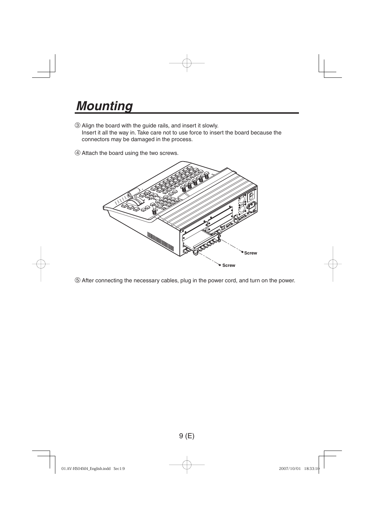## *Mounting*

- Align the board with the guide rails, and insert it slowly. Insert it all the way in. Take care not to use force to insert the board because the connectors may be damaged in the process.
- Attach the board using the two screws.



After connecting the necessary cables, plug in the power cord, and turn on the power.



01.AV-HS04M4\_English.indd Sec1:9 2007/10/01 18:33:10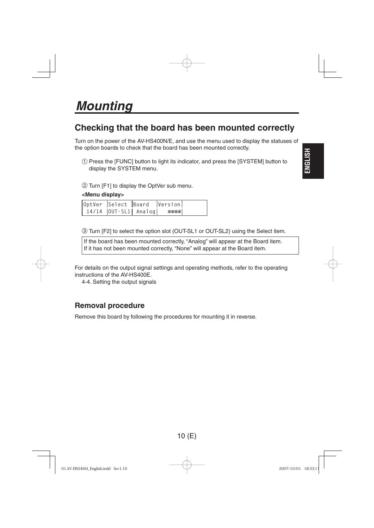### *Mounting*

#### **Checking that the board has been mounted correctly**

Turn on the power of the AV-HS400N/E, and use the menu used to display the statuses of the option boards to check that the board has been mounted correctly.

 Press the [FUNC] button to light its indicator, and press the [SYSTEM] button to display the SYSTEM menu.



Turn [F1] to display the OptVer sub menu.

#### **<Menu display>**

|                                                      | OptVer Select Board Version |
|------------------------------------------------------|-----------------------------|
| $\vert$ 14/14 $\vert$ OUT-SL1 $\vert$ Analog $\vert$ | ****                        |

Turn [F2] to select the option slot (OUT-SL1 or OUT-SL2) using the Select item.

If the board has been mounted correctly, "Analog" will appear at the Board item. If it has not been mounted correctly, "None" will appear at the Board item.

For details on the output signal settings and operating methods, refer to the operating instructions of the AV-HS400E.

4-4. Setting the output signals

#### **Removal procedure**

Remove this board by following the procedures for mounting it in reverse.



01.AV-HS04M4\_English.indd Sec1:10 18:33:1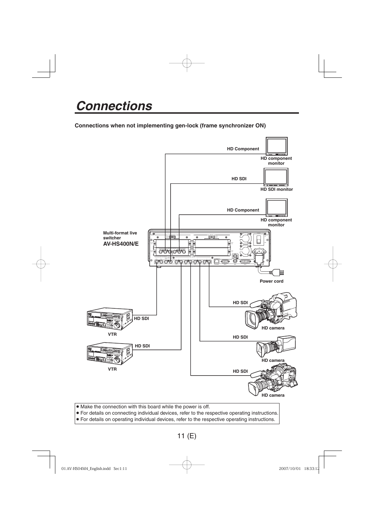## *Connections*

**Connections when not implementing gen-lock (frame synchronizer ON)**



01.AV-HS04M4\_English.indd Sec1:11 2007/10/01 18:33:12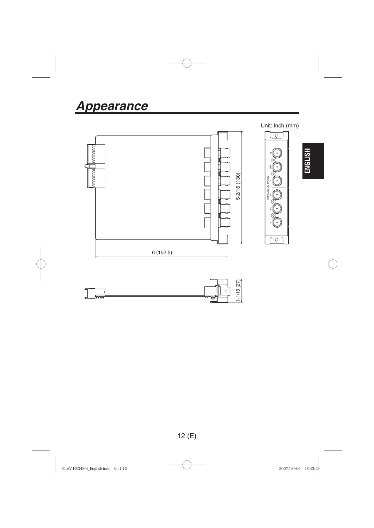



01.AV-HS04M4\_English.indd Sec1:12 2007/10/01 18:33:13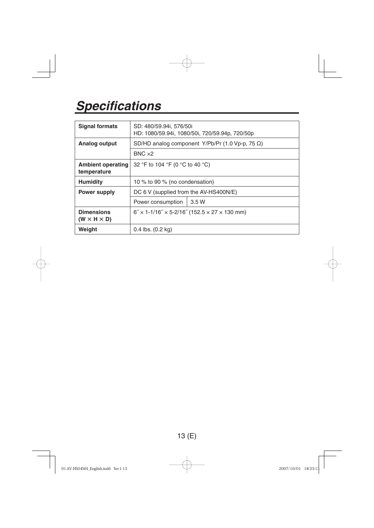# *Specifications*

| <b>Signal formats</b>                        | SD: 480/59.94i, 576/50i<br>HD: 1080/59.94i, 1080/50i, 720/59.94p, 720/50p     |       |  |
|----------------------------------------------|-------------------------------------------------------------------------------|-------|--|
| Analog output                                | SD/HD analog component Y/Pb/Pr (1.0 Vp-p, 75 $\Omega$ )                       |       |  |
|                                              | $BNC \times 2$                                                                |       |  |
| <b>Ambient operating</b><br>temperature      | 32 °F to 104 °F (0 °C to 40 °C)                                               |       |  |
| <b>Humidity</b>                              | 10 % to 90 % (no condensation)                                                |       |  |
| <b>Power supply</b>                          | DC 6 V (supplied from the AV-HS400N/E)                                        |       |  |
|                                              | Power consumption                                                             | 3.5 W |  |
| <b>Dimensions</b><br>$(W \times H \times D)$ | $6'' \times 1 - 1/16'' \times 5 - 2/16''$ (152.5 $\times$ 27 $\times$ 130 mm) |       |  |
| Weight                                       | $0.4$ lbs. $(0.2$ kg)                                                         |       |  |



01.AV-HS04M4\_English.indd Sec1:13 2007/10/01 18:33:13